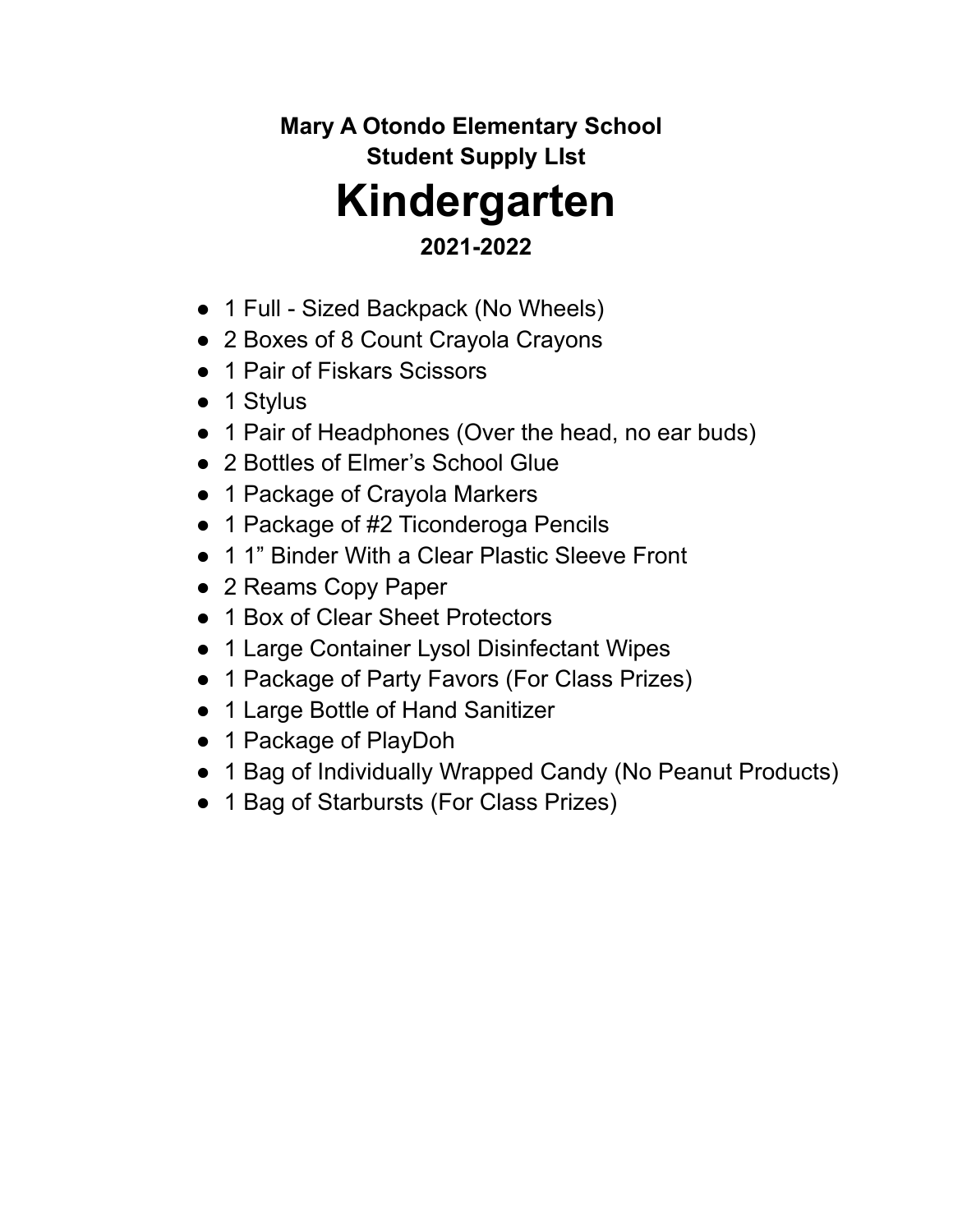# **Mary A Otondo Elementary School Student Supply LIst Kindergarten**

## **2021-2022**

- 1 Full Sized Backpack (No Wheels)
- 2 Boxes of 8 Count Crayola Crayons
- 1 Pair of Fiskars Scissors
- 1 Stylus
- 1 Pair of Headphones (Over the head, no ear buds)
- 2 Bottles of Elmer's School Glue
- 1 Package of Crayola Markers
- 1 Package of #2 Ticonderoga Pencils
- 1 1" Binder With a Clear Plastic Sleeve Front
- 2 Reams Copy Paper
- 1 Box of Clear Sheet Protectors
- 1 Large Container Lysol Disinfectant Wipes
- 1 Package of Party Favors (For Class Prizes)
- 1 Large Bottle of Hand Sanitizer
- 1 Package of PlayDoh
- 1 Bag of Individually Wrapped Candy (No Peanut Products)
- 1 Bag of Starbursts (For Class Prizes)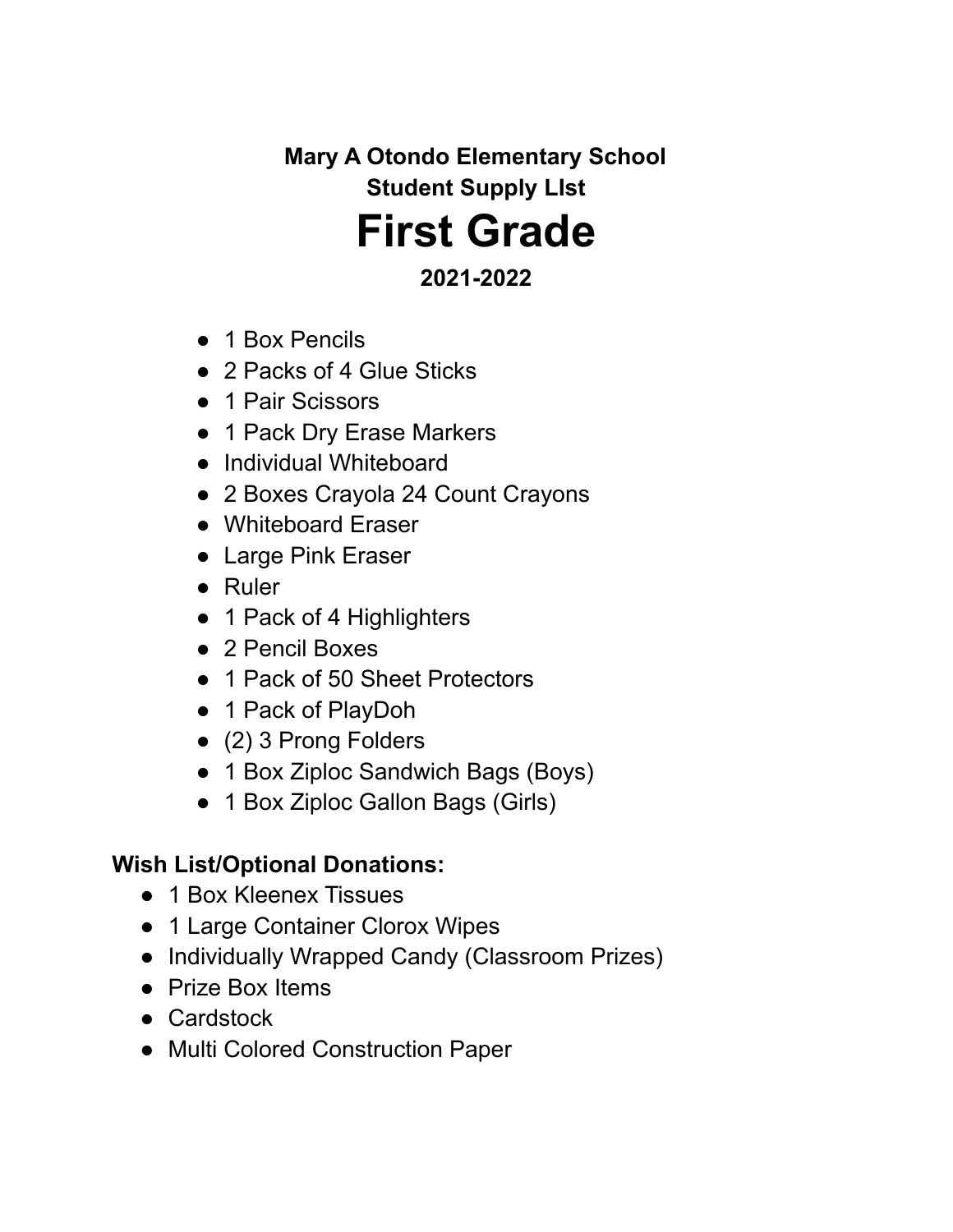**Mary A Otondo Elementary School Student Supply LIst**

# **First Grade**

### **2021-2022**

- 1 Box Pencils
- 2 Packs of 4 Glue Sticks
- 1 Pair Scissors
- 1 Pack Dry Erase Markers
- Individual Whiteboard
- 2 Boxes Crayola 24 Count Crayons
- Whiteboard Eraser
- Large Pink Eraser
- Ruler
- 1 Pack of 4 Highlighters
- 2 Pencil Boxes
- 1 Pack of 50 Sheet Protectors
- 1 Pack of PlayDoh
- (2) 3 Prong Folders
- 1 Box Ziploc Sandwich Bags (Boys)
- 1 Box Ziploc Gallon Bags (Girls)

## **Wish List/Optional Donations:**

- 1 Box Kleenex Tissues
- 1 Large Container Clorox Wipes
- Individually Wrapped Candy (Classroom Prizes)
- Prize Box Items
- Cardstock
- Multi Colored Construction Paper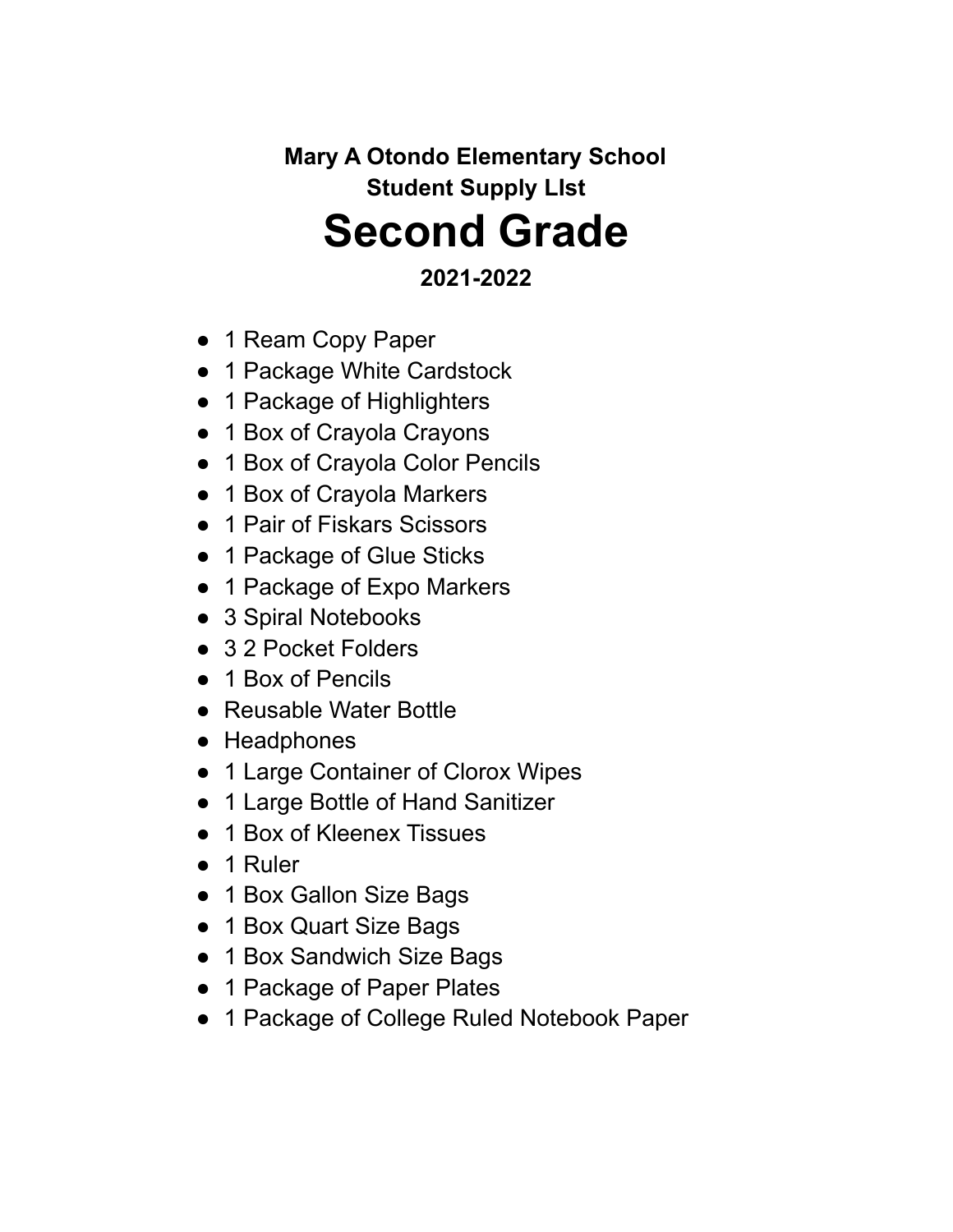**Mary A Otondo Elementary School Student Supply LIst Second Grade**

#### **2021-2022**

- 1 Ream Copy Paper
- 1 Package White Cardstock
- 1 Package of Highlighters
- 1 Box of Crayola Crayons
- 1 Box of Crayola Color Pencils
- 1 Box of Crayola Markers
- 1 Pair of Fiskars Scissors
- 1 Package of Glue Sticks
- 1 Package of Expo Markers
- 3 Spiral Notebooks
- 32 Pocket Folders
- 1 Box of Pencils
- Reusable Water Bottle
- Headphones
- 1 Large Container of Clorox Wipes
- 1 Large Bottle of Hand Sanitizer
- 1 Box of Kleenex Tissues
- 1 Ruler
- 1 Box Gallon Size Bags
- 1 Box Quart Size Bags
- 1 Box Sandwich Size Bags
- 1 Package of Paper Plates
- 1 Package of College Ruled Notebook Paper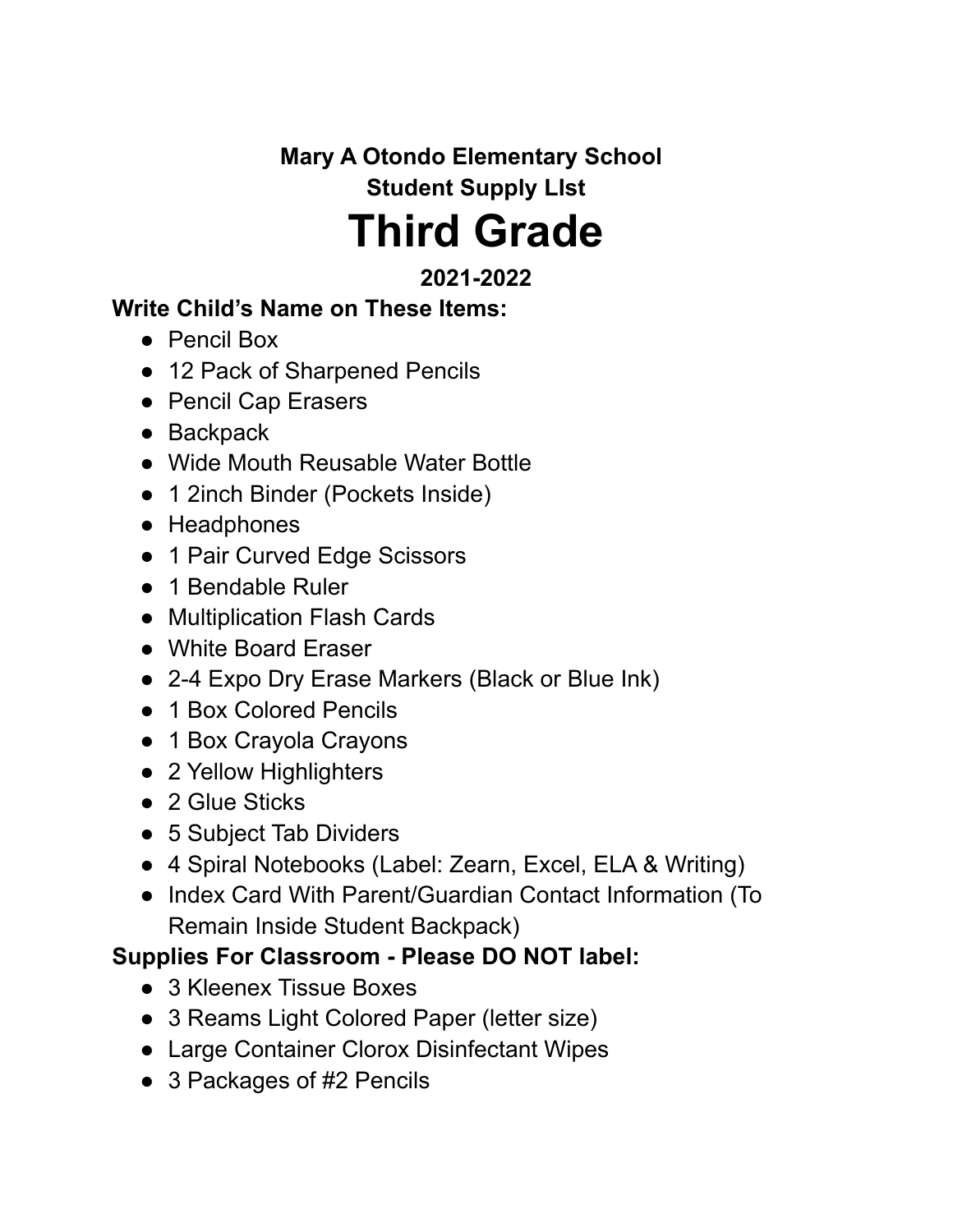**Mary A Otondo Elementary School Student Supply LIst Third Grade**

## **2021-2022**

#### **Write Child's Name on These Items:**

- Pencil Box
- 12 Pack of Sharpened Pencils
- Pencil Cap Erasers
- Backpack
- Wide Mouth Reusable Water Bottle
- 1 2inch Binder (Pockets Inside)
- Headphones
- 1 Pair Curved Edge Scissors
- 1 Bendable Ruler
- Multiplication Flash Cards
- White Board Eraser
- 2-4 Expo Dry Erase Markers (Black or Blue Ink)
- 1 Box Colored Pencils
- 1 Box Crayola Crayons
- 2 Yellow Highlighters
- 2 Glue Sticks
- 5 Subject Tab Dividers
- 4 Spiral Notebooks (Label: Zearn, Excel, ELA & Writing)
- Index Card With Parent/Guardian Contact Information (To Remain Inside Student Backpack)

## **Supplies For Classroom - Please DO NOT label:**

- 3 Kleenex Tissue Boxes
- 3 Reams Light Colored Paper (letter size)
- Large Container Clorox Disinfectant Wipes
- 3 Packages of #2 Pencils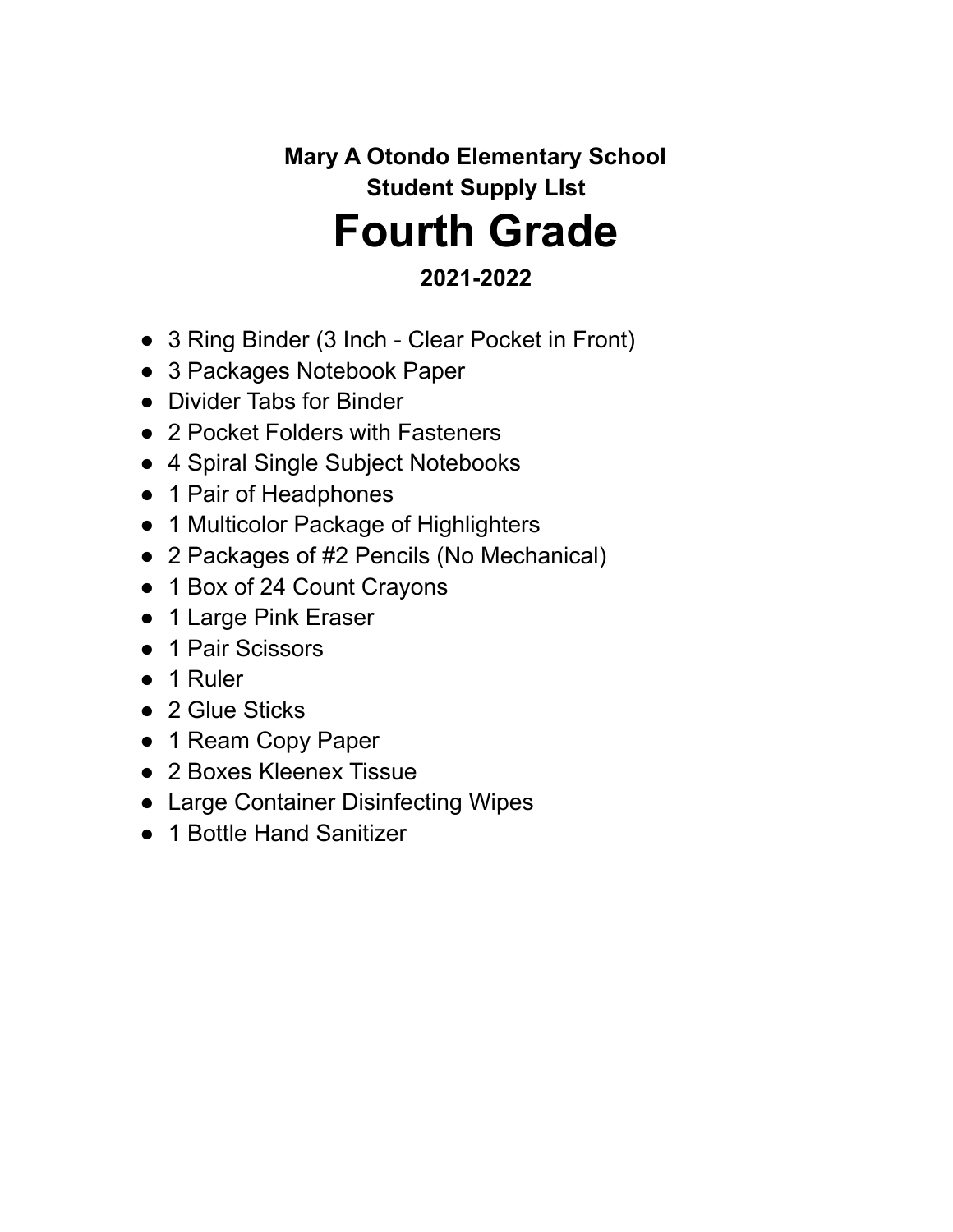## **Mary A Otondo Elementary School Student Supply LIst Fourth Grade 2021-2022**

- 3 Ring Binder (3 Inch Clear Pocket in Front)
- 3 Packages Notebook Paper
- Divider Tabs for Binder
- 2 Pocket Folders with Fasteners
- 4 Spiral Single Subject Notebooks
- 1 Pair of Headphones
- 1 Multicolor Package of Highlighters
- 2 Packages of #2 Pencils (No Mechanical)
- 1 Box of 24 Count Crayons
- 1 Large Pink Eraser
- 1 Pair Scissors
- 1 Ruler
- 2 Glue Sticks
- 1 Ream Copy Paper
- 2 Boxes Kleenex Tissue
- Large Container Disinfecting Wipes
- 1 Bottle Hand Sanitizer